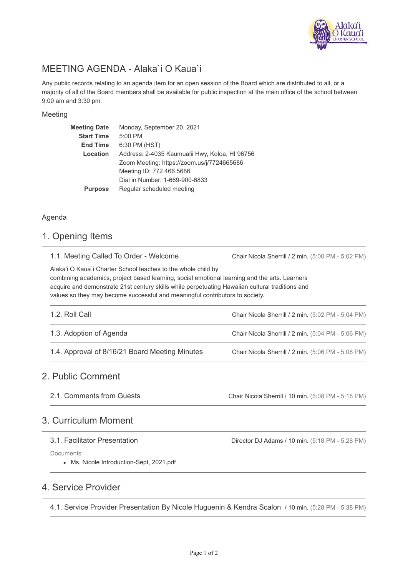

# MEETING AGENDA - Alaka`i O Kaua`i

Any public records relating to an agenda item for an open session of the Board which are distributed to all, or a majority of all of the Board members shall be available for public inspection at the main office of the school between 9:00 am and 3:30 pm.

### Meeting

| <b>Meeting Date</b> | Monday, September 20, 2021                     |  |  |  |
|---------------------|------------------------------------------------|--|--|--|
| <b>Start Time</b>   | 5:00 PM                                        |  |  |  |
| <b>End Time</b>     | 6:30 PM (HST)                                  |  |  |  |
| Location            | Address: 2-4035 Kaumualii Hwy, Koloa, HI 96756 |  |  |  |
|                     | Zoom Meeting: https://zoom.us/j/7724665686     |  |  |  |
|                     | Meeting ID: 772 466 5686                       |  |  |  |
|                     | Dial in Number: 1-669-900-6833                 |  |  |  |
| <b>Purpose</b>      | Regular scheduled meeting                      |  |  |  |

### Agenda

### 1. Opening Items

|  |  |  |  |  |  | 1.1. Meeting Called To Order - Welcome |
|--|--|--|--|--|--|----------------------------------------|
|--|--|--|--|--|--|----------------------------------------|

Chair Nicola Sherrill / 2 min. (5:00 PM - 5:02 PM)

Alaka'i O Kaua`i Charter School teaches to the whole child by combining academics, project based learning, social emotional learning and the arts. Learners

acquire and demonstrate 21st century skills while perpetuating Hawaiian cultural traditions and values so they may become successful and meaningful contributors to society.

| 1.2. Roll Call                                 | Chair Nicola Sherrill / 2 min. (5:02 PM - 5:04 PM) |
|------------------------------------------------|----------------------------------------------------|
| 1.3. Adoption of Agenda                        | Chair Nicola Sherrill / 2 min. (5:04 PM - 5:06 PM) |
| 1.4. Approval of 8/16/21 Board Meeting Minutes | Chair Nicola Sherrill / 2 min. (5:06 PM - 5:08 PM) |

## 2. Public Comment

Chair Nicola Sherrill / 10 min. (5:08 PM - 5:18 PM) 2.1. Comments from Guests

## 3. Curriculum Moment

### 3.1. Facilitator Presentation

Director DJ Adams / 10 min. (5:18 PM - 5:28 PM)

Documents

Ms. Nicole Introduction-Sept, 2021.pdf

## 4. Service Provider

4.1. Service Provider Presentation By Nicole Huguenin & Kendra Scalon / 10 min. (5:28 PM - 5:38 PM)